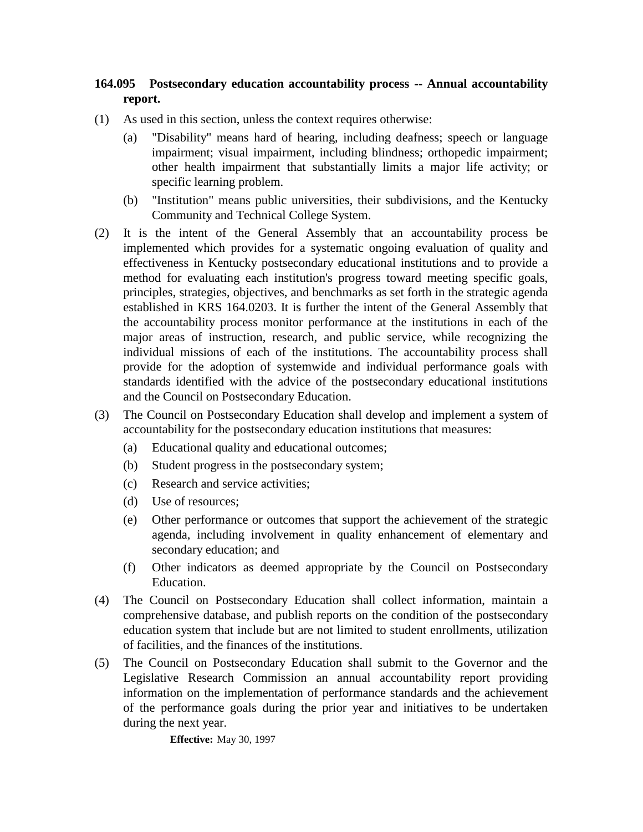## **164.095 Postsecondary education accountability process -- Annual accountability report.**

- (1) As used in this section, unless the context requires otherwise:
	- (a) "Disability" means hard of hearing, including deafness; speech or language impairment; visual impairment, including blindness; orthopedic impairment; other health impairment that substantially limits a major life activity; or specific learning problem.
	- (b) "Institution" means public universities, their subdivisions, and the Kentucky Community and Technical College System.
- (2) It is the intent of the General Assembly that an accountability process be implemented which provides for a systematic ongoing evaluation of quality and effectiveness in Kentucky postsecondary educational institutions and to provide a method for evaluating each institution's progress toward meeting specific goals, principles, strategies, objectives, and benchmarks as set forth in the strategic agenda established in KRS 164.0203. It is further the intent of the General Assembly that the accountability process monitor performance at the institutions in each of the major areas of instruction, research, and public service, while recognizing the individual missions of each of the institutions. The accountability process shall provide for the adoption of systemwide and individual performance goals with standards identified with the advice of the postsecondary educational institutions and the Council on Postsecondary Education.
- (3) The Council on Postsecondary Education shall develop and implement a system of accountability for the postsecondary education institutions that measures:
	- (a) Educational quality and educational outcomes;
	- (b) Student progress in the postsecondary system;
	- (c) Research and service activities;
	- (d) Use of resources;
	- (e) Other performance or outcomes that support the achievement of the strategic agenda, including involvement in quality enhancement of elementary and secondary education; and
	- (f) Other indicators as deemed appropriate by the Council on Postsecondary Education.
- (4) The Council on Postsecondary Education shall collect information, maintain a comprehensive database, and publish reports on the condition of the postsecondary education system that include but are not limited to student enrollments, utilization of facilities, and the finances of the institutions.
- (5) The Council on Postsecondary Education shall submit to the Governor and the Legislative Research Commission an annual accountability report providing information on the implementation of performance standards and the achievement of the performance goals during the prior year and initiatives to be undertaken during the next year.

**Effective:** May 30, 1997